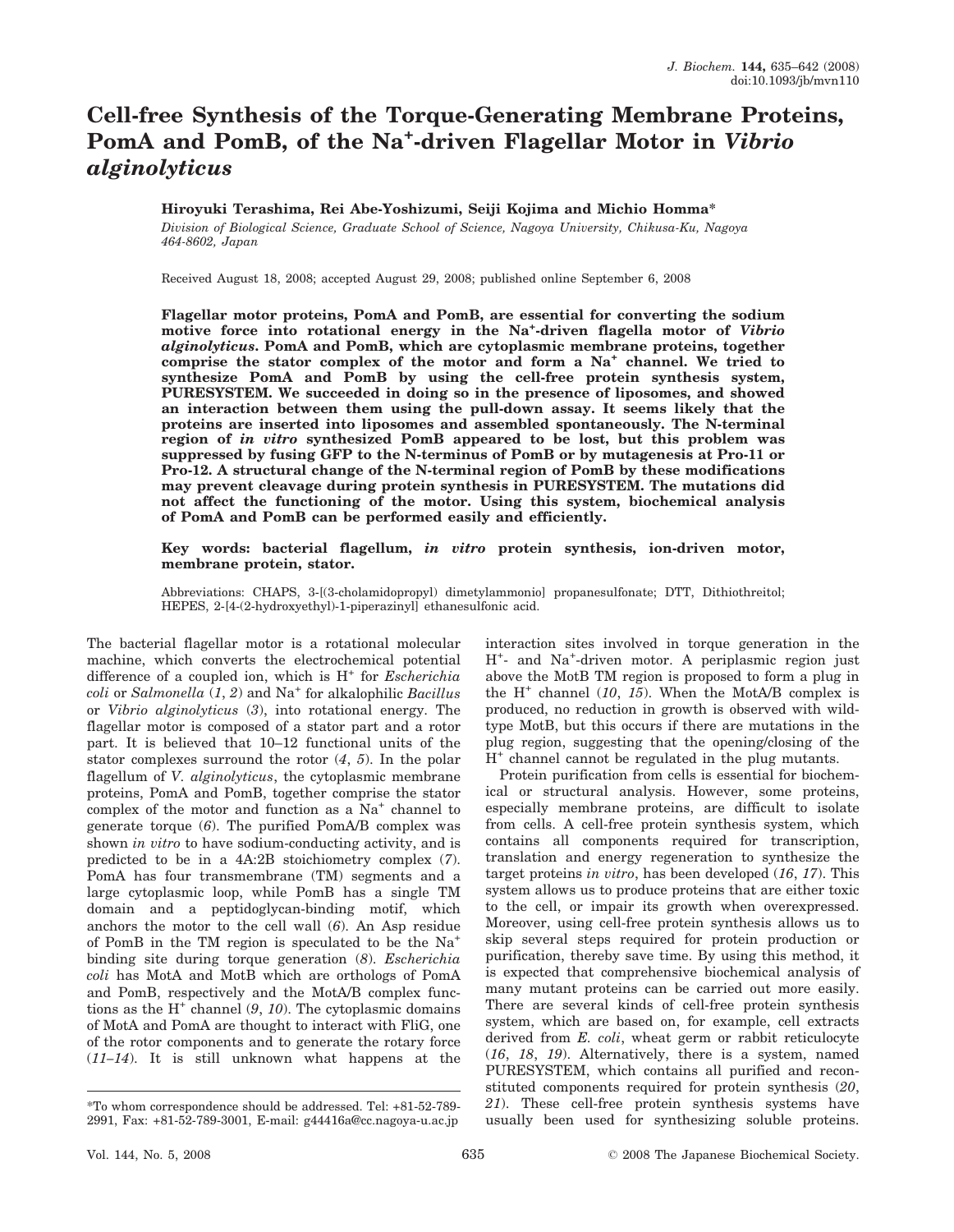# Cell-free Synthesis of the Torque-Generating Membrane Proteins, PomA and PomB, of the Na<sup>+</sup>-driven Flagellar Motor in Vibrio alginolyticus

# Hiroyuki Terashima, Rei Abe-Yoshizumi, Seiji Kojima and Michio Homma\*

Division of Biological Science, Graduate School of Science, Nagoya University, Chikusa-Ku, Nagoya 464-8602, Japan

Received August 18, 2008; accepted August 29, 2008; published online September 6, 2008

Flagellar motor proteins, PomA and PomB, are essential for converting the sodium motive force into rotational energy in the Na<sup>+</sup>-driven flagella motor of Vibrio alginolyticus. PomA and PomB, which are cytoplasmic membrane proteins, together comprise the stator complex of the motor and form a Na<sup>+</sup> channel. We tried to synthesize PomA and PomB by using the cell-free protein synthesis system, PURESYSTEM. We succeeded in doing so in the presence of liposomes, and showed an interaction between them using the pull-down assay. It seems likely that the proteins are inserted into liposomes and assembled spontaneously. The N-terminal region of in vitro synthesized PomB appeared to be lost, but this problem was suppressed by fusing GFP to the N-terminus of PomB or by mutagenesis at Pro-11 or Pro-12. A structural change of the N-terminal region of PomB by these modifications may prevent cleavage during protein synthesis in PURESYSTEM. The mutations did not affect the functioning of the motor. Using this system, biochemical analysis of PomA and PomB can be performed easily and efficiently.

# Key words: bacterial flagellum, in vitro protein synthesis, ion-driven motor, membrane protein, stator.

Abbreviations: CHAPS, 3-[(3-cholamidopropyl) dimetylammonio] propanesulfonate; DTT, Dithiothreitol; HEPES, 2-[4-(2-hydroxyethyl)-1-piperazinyl] ethanesulfonic acid.

The bacterial flagellar motor is a rotational molecular machine, which converts the electrochemical potential difference of a coupled ion, which is  $H^+$  for *Escherichia* coli or Salmonella  $(1, 2)$  and Na<sup>+</sup> for alkalophilic Bacillus or Vibrio alginolyticus (3), into rotational energy. The flagellar motor is composed of a stator part and a rotor part. It is believed that 10–12 functional units of the stator complexes surround the rotor (4, 5). In the polar flagellum of *V. alginolyticus*, the cytoplasmic membrane proteins, PomA and PomB, together comprise the stator complex of the motor and function as a Na<sup>+</sup> channel to generate torque (6). The purified PomA/B complex was shown in vitro to have sodium-conducting activity, and is predicted to be in a 4A:2B stoichiometry complex (7). PomA has four transmembrane (TM) segments and a large cytoplasmic loop, while PomB has a single TM domain and a peptidoglycan-binding motif, which anchors the motor to the cell wall (6). An Asp residue of PomB in the TM region is speculated to be the Na+ binding site during torque generation (8). Escherichia coli has MotA and MotB which are orthologs of PomA and PomB, respectively and the MotA/B complex functions as the  $H^+$  channel  $(9, 10)$ . The cytoplasmic domains of MotA and PomA are thought to interact with FliG, one of the rotor components and to generate the rotary force  $(11-14)$ . It is still unknown what happens at the interaction sites involved in torque generation in the H<sup>+</sup>- and Na<sup>+</sup>-driven motor. A periplasmic region just above the MotB TM region is proposed to form a plug in the  $H^+$  channel (10, 15). When the MotA/B complex is produced, no reduction in growth is observed with wildtype MotB, but this occurs if there are mutations in the plug region, suggesting that the opening/closing of the  $H^+$  channel cannot be regulated in the plug mutants.

Protein purification from cells is essential for biochemical or structural analysis. However, some proteins, especially membrane proteins, are difficult to isolate from cells. A cell-free protein synthesis system, which contains all components required for transcription, translation and energy regeneration to synthesize the target proteins in vitro, has been developed (16, 17). This system allows us to produce proteins that are either toxic to the cell, or impair its growth when overexpressed. Moreover, using cell-free protein synthesis allows us to skip several steps required for protein production or purification, thereby save time. By using this method, it is expected that comprehensive biochemical analysis of many mutant proteins can be carried out more easily. There are several kinds of cell-free protein synthesis system, which are based on, for example, cell extracts derived from E. coli, wheat germ or rabbit reticulocyte (16, 18, 19). Alternatively, there is a system, named PURESYSTEM, which contains all purified and reconstituted components required for protein synthesis (20, 21). These cell-free protein synthesis systems have usually been used for synthesizing soluble proteins.

<sup>\*</sup>To whom correspondence should be addressed. Tel: +81-52-789- 2991, Fax: +81-52-789-3001, E-mail: g44416a@cc.nagoya-u.ac.jp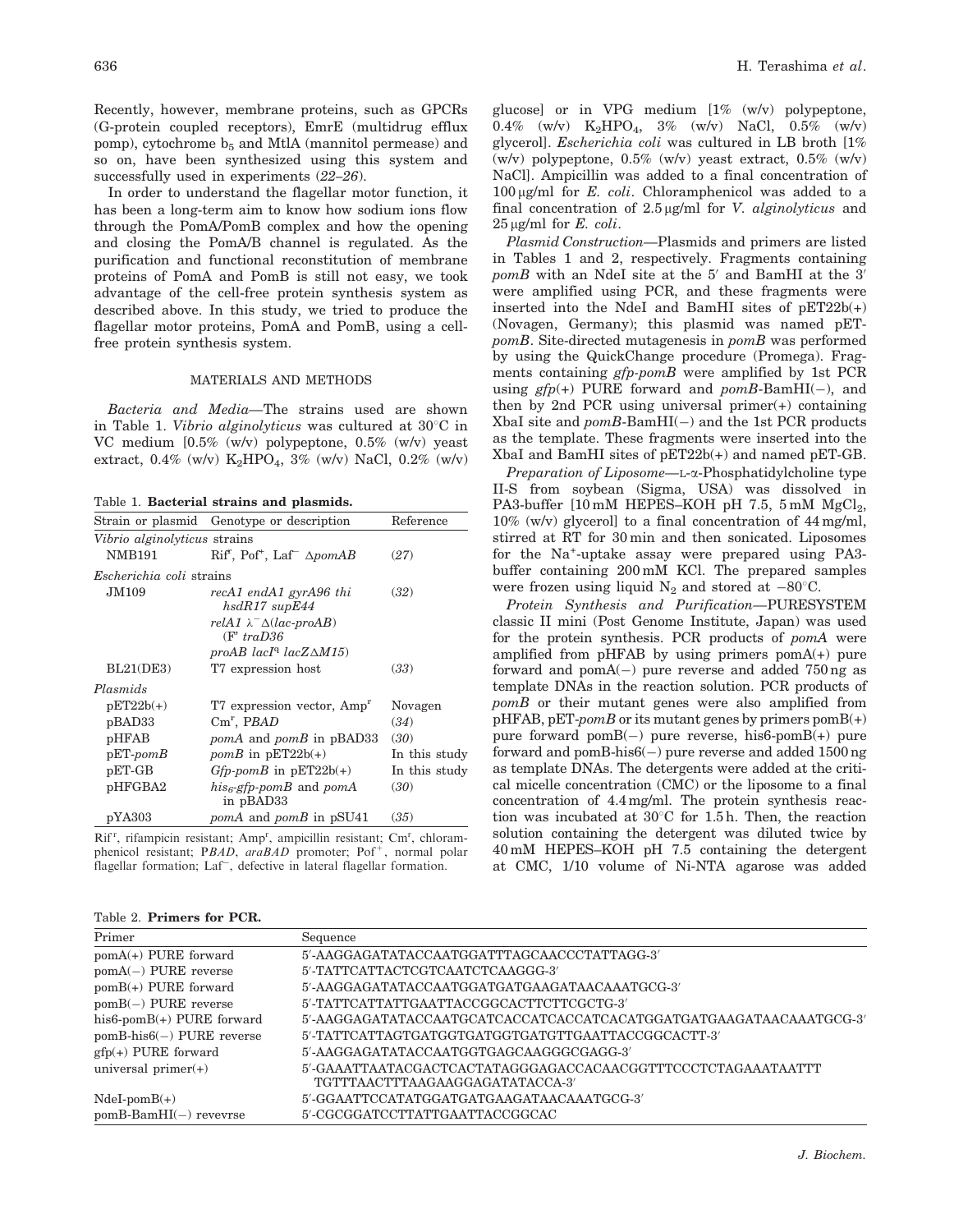Recently, however, membrane proteins, such as GPCRs (G-protein coupled receptors), EmrE (multidrug efflux pomp), cytochrome  $b_5$  and MtlA (mannitol permease) and so on, have been synthesized using this system and successfully used in experiments (22–26).

In order to understand the flagellar motor function, it has been a long-term aim to know how sodium ions flow through the PomA/PomB complex and how the opening and closing the PomA/B channel is regulated. As the purification and functional reconstitution of membrane proteins of PomA and PomB is still not easy, we took advantage of the cell-free protein synthesis system as described above. In this study, we tried to produce the flagellar motor proteins, PomA and PomB, using a cellfree protein synthesis system.

# MATERIALS AND METHODS

Bacteria and Media—The strains used are shown in Table 1. Vibrio alginolyticus was cultured at  $30^{\circ}$ C in VC medium [0.5% (w/v) polypeptone, 0.5% (w/v) yeast extract,  $0.4\%$  (w/v)  $K_2HPO_4$ ,  $3\%$  (w/v) NaCl,  $0.2\%$  (w/v)

Table 1. Bacterial strains and plasmids.

| Vibrio alginolyticus strains<br><b>NMB191</b><br>Escherichia coli strains<br>JM109 | Strain or plasmid Genotype or description<br>$Rifr$ , Pof <sup>+</sup> , Laf <sup>-</sup> $\Delta p$ omAB | Reference     |
|------------------------------------------------------------------------------------|-----------------------------------------------------------------------------------------------------------|---------------|
|                                                                                    |                                                                                                           |               |
|                                                                                    |                                                                                                           |               |
|                                                                                    |                                                                                                           | (27)          |
|                                                                                    |                                                                                                           |               |
|                                                                                    | recA1 endA1 gyrA96 thi<br>$hsdR17$ sup $E44$                                                              | (32)          |
|                                                                                    | relA1 $\lambda$ <sup>-</sup> $\Delta$ (lac-proAB)<br>$(F' \, traD.36)$                                    |               |
|                                                                                    | proAB $lacIq$ $lacZ\Delta M15$                                                                            |               |
| BL21(DE3)                                                                          | T7 expression host                                                                                        | (33)          |
| Plasmids                                                                           |                                                                                                           |               |
| $pET22b(+)$                                                                        | T7 expression vector, Amp <sup>r</sup>                                                                    | Novagen       |
| pBAD33                                                                             | $Cm^r$ , PBAD                                                                                             | (34)          |
| pHFAB                                                                              | <i>pomA</i> and <i>pomB</i> in pBAD33                                                                     | (30)          |
| $pET$ -pom $B$                                                                     | <i>pomB</i> in $pET22b(+)$                                                                                | In this study |
| pET-GB                                                                             | $Gfp$ -pomB in $pET22b(+)$                                                                                | In this study |
| pHFGBA2                                                                            | $his6$ -gfp-pomB and pomA                                                                                 | (30)          |
| pYA303<br><i>pomA</i> and <i>pomB</i> in pSU41                                     | in pBAD33                                                                                                 |               |

Rif<sup>r</sup>, rifampicin resistant; Amp<sup>r</sup>, ampicillin resistant; Cm<sup>r</sup>, chloramphenicol resistant; PBAD, araBAD promoter; Pof<sup>+</sup>, normal polar flagellar formation; Laf<sup>-</sup>, defective in lateral flagellar formation.

Table 2. Primers for PCR.

glucose] or in VPG medium [1% (w/v) polypeptone, 0.4% (w/v)  $K_2HPO_4$ , 3% (w/v) NaCl, 0.5% (w/v) glycerol]. Escherichia coli was cultured in LB broth [1% (w/v) polypeptone,  $0.5\%$  (w/v) yeast extract,  $0.5\%$  (w/v) NaCl]. Ampicillin was added to a final concentration of  $100 \mu g/ml$  for E. coli. Chloramphenicol was added to a final concentration of  $2.5 \mu g/ml$  for *V. alginolyticus* and  $25 \mu g/ml$  for E. coli.

Plasmid Construction—Plasmids and primers are listed in Tables 1 and 2, respectively. Fragments containing  $pomB$  with an NdeI site at the 5' and BamHI at the 3' were amplified using PCR, and these fragments were inserted into the NdeI and BamHI sites of  $pET22b(+)$ (Novagen, Germany); this plasmid was named pETpomB. Site-directed mutagenesis in pomB was performed by using the QuickChange procedure (Promega). Fragments containing gfp-pomB were amplified by 1st PCR using  $gfp(+)$  PURE forward and pomB-BamHI(-), and then by 2nd PCR using universal primer(+) containing XbaI site and  $pomB-BamHI(-)$  and the 1st PCR products as the template. These fragments were inserted into the XbaI and BamHI sites of pET22b(+) and named pET-GB.

Preparation of Liposome—L- $\alpha$ -Phosphatidylcholine type II-S from soybean (Sigma, USA) was dissolved in PA3-buffer  $[10 \text{ mM } HEPES-KOH \text{ pH } 7.5, 5 \text{ mM } MgCl<sub>2</sub>$ , 10% (w/v) glycerol] to a final concentration of 44 mg/ml, stirred at RT for 30 min and then sonicated. Liposomes for the Na<sup>+</sup>-uptake assay were prepared using PA3buffer containing 200 mM KCl. The prepared samples were frozen using liquid  $N_2$  and stored at  $-80^{\circ}$ C.

Protein Synthesis and Purification—PURESYSTEM classic II mini (Post Genome Institute, Japan) was used for the protein synthesis. PCR products of pomA were amplified from pHFAB by using primers pomA(+) pure forward and  $pomA(-)$  pure reverse and added 750 ng as template DNAs in the reaction solution. PCR products of pomB or their mutant genes were also amplified from  $p$ HFAB,  $pET-pomB$  or its mutant genes by primers  $pomB(+)$ pure forward  $pomB(-)$  pure reverse, his6-pom $B(+)$  pure forward and pomB-his $6(-)$  pure reverse and added 1500 ng as template DNAs. The detergents were added at the critical micelle concentration (CMC) or the liposome to a final concentration of 4.4 mg/ml. The protein synthesis reaction was incubated at  $30^{\circ}$ C for 1.5 h. Then, the reaction solution containing the detergent was diluted twice by 40 mM HEPES–KOH pH 7.5 containing the detergent at CMC, 1/10 volume of Ni-NTA agarose was added

| Primer                       | Sequence                                                                                        |
|------------------------------|-------------------------------------------------------------------------------------------------|
| pomA(+) PURE forward         | 5'-AAGGAGATATACCAATGGATTTAGCAACCCTATTAGG-3'                                                     |
| $pomA(-)$ PURE reverse       | 5'-TATTCATTACTCGTCAATCTCAAGGG-3'                                                                |
| pomB(+) PURE forward         | 5'-AAGGAGATATACCAATGGATGATGAAGATAACAAATGCG-3'                                                   |
| $pomB(-)$ PURE reverse       | 5'-TATTCATTATTGAATTACCGGCACTTCTTCGCTG-3'                                                        |
| his6-pomB(+) PURE forward    | 5'-AAGGAGATATACCAATGCATCACCATCACCATCACATGGATGATGAAGATAACAAATGCG-3'                              |
| $pomB-his6(-)$ PURE reverse  | 5'-TATTCATTAGTGATGGTGATGGTGATGTTGAATTACCGGCACTT-3'                                              |
| $gfp(+)$ PURE forward        | 5'-AAGGAGATATACCAATGGTGAGCAAGGGCGAGG-3'                                                         |
| universal $\text{primer}(+)$ | 5'-GAAATTAATACGACTCACTATAGGGAGACCACAACGGTTTCCCTCTAGAAATAATTT<br>TGTTTAACTTTAAGAAGGAGATATACCA-3' |
| $Ndel-pomB(+)$               | 5'-GGAATTCCATATGGATGATGAAGATAACAAATGCG-3'                                                       |
| $pomB-BamHI(-)$ revevrse     | 5'-CGCGGATCCTTATTGAATTACCGGCAC                                                                  |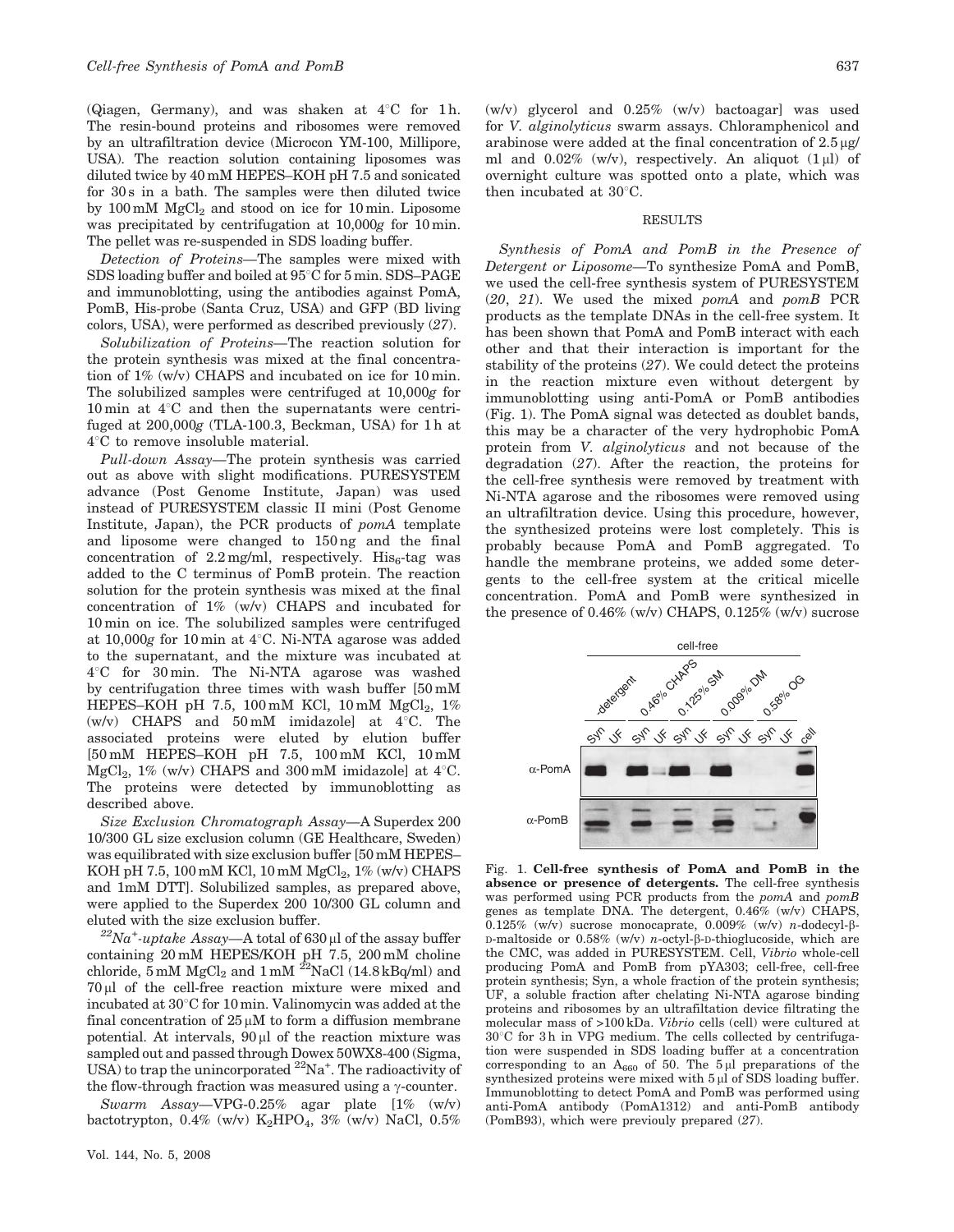(Qiagen, Germany), and was shaken at  $4^{\circ}$ C for 1h. The resin-bound proteins and ribosomes were removed by an ultrafiltration device (Microcon YM-100, Millipore, USA). The reaction solution containing liposomes was diluted twice by 40 mM HEPES–KOH pH 7.5 and sonicated for 30 s in a bath. The samples were then diluted twice by 100 mM  $MgCl<sub>2</sub>$  and stood on ice for 10 min. Liposome was precipitated by centrifugation at 10,000g for 10 min. The pellet was re-suspended in SDS loading buffer.

Detection of Proteins—The samples were mixed with SDS loading buffer and boiled at  $95^{\circ}$ C for 5 min. SDS–PAGE and immunoblotting, using the antibodies against PomA, PomB, His-probe (Santa Cruz, USA) and GFP (BD living colors, USA), were performed as described previously (27).

Solubilization of Proteins—The reaction solution for the protein synthesis was mixed at the final concentration of 1% (w/v) CHAPS and incubated on ice for 10 min. The solubilized samples were centrifuged at 10,000g for 10 min at  $4^{\circ}$ C and then the supernatants were centrifuged at 200,000g (TLA-100.3, Beckman, USA) for 1 h at  $4^{\circ}$ C to remove insoluble material.

Pull-down Assay—The protein synthesis was carried out as above with slight modifications. PURESYSTEM advance (Post Genome Institute, Japan) was used instead of PURESYSTEM classic II mini (Post Genome Institute, Japan), the PCR products of pomA template and liposome were changed to 150 ng and the final concentration of  $2.2 \text{ mg/ml}$ , respectively. His<sub>6</sub>-tag was added to the C terminus of PomB protein. The reaction solution for the protein synthesis was mixed at the final concentration of 1% (w/v) CHAPS and incubated for 10 min on ice. The solubilized samples were centrifuged at 10,000g for 10 min at  $4^{\circ}$ C. Ni-NTA agarose was added to the supernatant, and the mixture was incubated at 4°C for 30 min. The Ni-NTA agarose was washed by centrifugation three times with wash buffer [50 mM HEPES–KOH pH 7.5, 100 mM KCl, 10 mM  $MgCl<sub>2</sub>$ , 1% (w/v) CHAPS and  $50 \text{ mM}$  imidazole] at  $4^{\circ}$ C. The associated proteins were eluted by elution buffer [50 mM HEPES–KOH pH 7.5, 100 mM KCl, 10 mM MgCl<sub>2</sub>, 1% (w/v) CHAPS and 300 mM imidazole] at  $4^{\circ}$ C. The proteins were detected by immunoblotting as described above.

Size Exclusion Chromatograph Assay—A Superdex 200 10/300 GL size exclusion column (GE Healthcare, Sweden) was equilibrated with size exclusion buffer [50 mM HEPES– KOH pH 7.5, 100 mM KCl, 10 mM  $MgCl<sub>2</sub>$ , 1% (w/v) CHAPS and 1mM DTT]. Solubilized samples, as prepared above, were applied to the Superdex 200 10/300 GL column and eluted with the size exclusion buffer.

 $^{22}Na^{+}$ -uptake Assay—A total of 630 µl of the assay buffer containing 20 mM HEPES/KOH pH 7.5, 200 mM choline chloride, 5 mM  $MgCl<sub>2</sub>$  and 1 mM <sup>22</sup>NaCl (14.8 kBq/ml) and  $70 \mu$ l of the cell-free reaction mixture were mixed and incubated at  $30^{\circ}$ C for 10 min. Valinomycin was added at the final concentration of  $25 \mu M$  to form a diffusion membrane potential. At intervals,  $90 \mu l$  of the reaction mixture was sampled out and passed through Dowex 50WX8-400 (Sigma, USA) to trap the unincorporated <sup>22</sup>Na<sup>+</sup>. The radioactivity of the flow-through fraction was measured using a  $\gamma$ -counter.

Swarm Assay—VPG-0.25% agar plate [1% (w/v) bactotrypton,  $0.4\%$  (w/v)  $K_2$ HPO<sub>4</sub>,  $3\%$  (w/v) NaCl,  $0.5\%$  (w/v) glycerol and 0.25% (w/v) bactoagar] was used for V. alginolyticus swarm assays. Chloramphenicol and arabinose were added at the final concentration of  $2.5 \mu g$ / ml and  $0.02\%$  (w/v), respectively. An aliquot  $(1 \mu l)$  of overnight culture was spotted onto a plate, which was then incubated at  $30^{\circ}$ C.

#### RESULTS

Synthesis of PomA and PomB in the Presence of Detergent or Liposome—To synthesize PomA and PomB, we used the cell-free synthesis system of PURESYSTEM (20, 21). We used the mixed pomA and pomB PCR products as the template DNAs in the cell-free system. It has been shown that PomA and PomB interact with each other and that their interaction is important for the stability of the proteins (27). We could detect the proteins in the reaction mixture even without detergent by immunoblotting using anti-PomA or PomB antibodies (Fig. 1). The PomA signal was detected as doublet bands, this may be a character of the very hydrophobic PomA protein from V. alginolyticus and not because of the degradation (27). After the reaction, the proteins for the cell-free synthesis were removed by treatment with Ni-NTA agarose and the ribosomes were removed using an ultrafiltration device. Using this procedure, however, the synthesized proteins were lost completely. This is probably because PomA and PomB aggregated. To handle the membrane proteins, we added some detergents to the cell-free system at the critical micelle concentration. PomA and PomB were synthesized in the presence of 0.46% (w/v) CHAPS, 0.125% (w/v) sucrose



Fig. 1. Cell-free synthesis of PomA and PomB in the absence or presence of detergents. The cell-free synthesis was performed using PCR products from the pomA and pomB genes as template DNA. The detergent, 0.46% (w/v) CHAPS, 0.125% (w/v) sucrose monocaprate, 0.009% (w/v) n-dodecyl- $\beta$ -D-maltoside or  $0.58\%$  (w/v) *n*-octyl- $\beta$ -D-thioglucoside, which are the CMC, was added in PURESYSTEM. Cell, Vibrio whole-cell producing PomA and PomB from pYA303; cell-free, cell-free protein synthesis; Syn, a whole fraction of the protein synthesis; UF, a soluble fraction after chelating Ni-NTA agarose binding proteins and ribosomes by an ultrafiltation device filtrating the molecular mass of >100 kDa. Vibrio cells (cell) were cultured at  $30^{\circ}$ C for 3h in VPG medium. The cells collected by centrifugation were suspended in SDS loading buffer at a concentration corresponding to an  $A_{660}$  of 50. The 5 µl preparations of the synthesized proteins were mixed with  $5 \mu$ l of SDS loading buffer. Immunoblotting to detect PomA and PomB was performed using anti-PomA antibody (PomA1312) and anti-PomB antibody (PomB93), which were previouly prepared (27).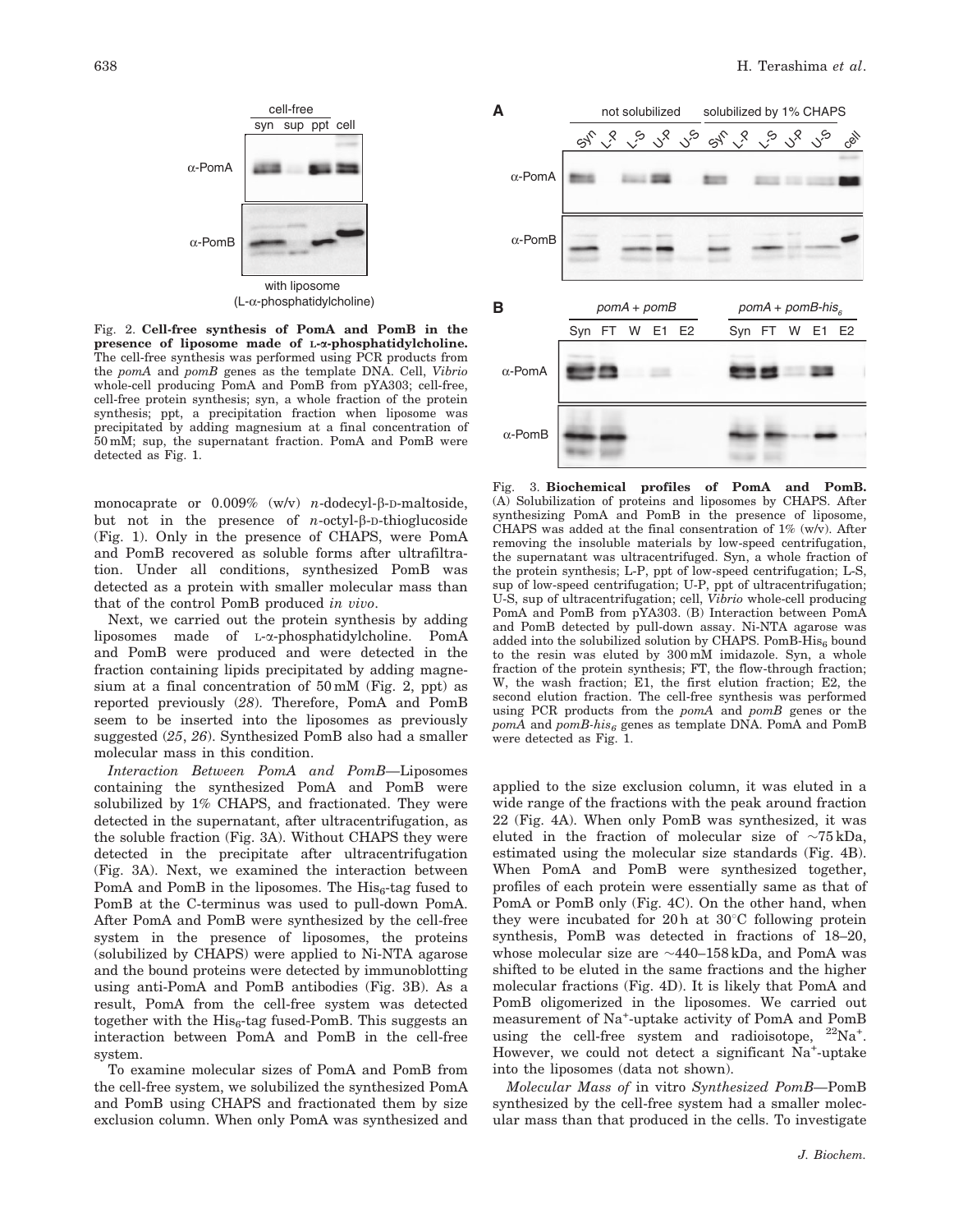

Fig. 2. Cell-free synthesis of PomA and PomB in the presence of liposome made of L-*a*-phosphatidylcholine. The cell-free synthesis was performed using PCR products from the pomA and pomB genes as the template DNA. Cell, Vibrio whole-cell producing PomA and PomB from pYA303; cell-free, cell-free protein synthesis; syn, a whole fraction of the protein synthesis; ppt, a precipitation fraction when liposome was precipitated by adding magnesium at a final concentration of 50 mM; sup, the supernatant fraction. PomA and PomB were detected as Fig. 1.

monocaprate or  $0.009\%$  (w/v) n-dodecyl- $\beta$ -D-maltoside, but not in the presence of  $n$ -octyl- $\beta$ -D-thioglucoside (Fig. 1). Only in the presence of CHAPS, were PomA and PomB recovered as soluble forms after ultrafiltration. Under all conditions, synthesized PomB was detected as a protein with smaller molecular mass than that of the control PomB produced in vivo.

Next, we carried out the protein synthesis by adding liposomes made of L-a-phosphatidylcholine. PomA and PomB were produced and were detected in the fraction containing lipids precipitated by adding magnesium at a final concentration of 50 mM (Fig. 2, ppt) as reported previously (28). Therefore, PomA and PomB seem to be inserted into the liposomes as previously suggested (25, 26). Synthesized PomB also had a smaller molecular mass in this condition.

Interaction Between PomA and PomB—Liposomes containing the synthesized PomA and PomB were solubilized by 1% CHAPS, and fractionated. They were detected in the supernatant, after ultracentrifugation, as the soluble fraction (Fig. 3A). Without CHAPS they were detected in the precipitate after ultracentrifugation (Fig. 3A). Next, we examined the interaction between PomA and PomB in the liposomes. The  $His<sub>6</sub>$ -tag fused to PomB at the C-terminus was used to pull-down PomA. After PomA and PomB were synthesized by the cell-free system in the presence of liposomes, the proteins (solubilized by CHAPS) were applied to Ni-NTA agarose and the bound proteins were detected by immunoblotting using anti-PomA and PomB antibodies (Fig. 3B). As a result, PomA from the cell-free system was detected together with the  $His<sub>6</sub>$ -tag fused-PomB. This suggests an interaction between PomA and PomB in the cell-free system.

To examine molecular sizes of PomA and PomB from the cell-free system, we solubilized the synthesized PomA and PomB using CHAPS and fractionated them by size exclusion column. When only PomA was synthesized and



Fig. 3. Biochemical profiles of PomA and PomB. (A) Solubilization of proteins and liposomes by CHAPS. After synthesizing PomA and PomB in the presence of liposome, CHAPS was added at the final consentration of  $1\%$  (w/v). After removing the insoluble materials by low-speed centrifugation, the supernatant was ultracentrifuged. Syn, a whole fraction of the protein synthesis; L-P, ppt of low-speed centrifugation; L-S, sup of low-speed centrifugation; U-P, ppt of ultracentrifugation; U-S, sup of ultracentrifugation; cell, Vibrio whole-cell producing PomA and PomB from pYA303. (B) Interaction between PomA and PomB detected by pull-down assay. Ni-NTA agarose was added into the solubilized solution by CHAPS. PomB-His<sub>6</sub> bound to the resin was eluted by 300 mM imidazole. Syn, a whole fraction of the protein synthesis; FT, the flow-through fraction; W, the wash fraction; E1, the first elution fraction; E2, the second elution fraction. The cell-free synthesis was performed using PCR products from the pomA and pomB genes or the  $pomA$  and  $pomB\text{-}his_6$  genes as template DNA. PomA and PomB were detected as Fig. 1.

applied to the size exclusion column, it was eluted in a wide range of the fractions with the peak around fraction 22 (Fig. 4A). When only PomB was synthesized, it was eluted in the fraction of molecular size of  $\sim 75 \text{ kDa}$ , estimated using the molecular size standards (Fig. 4B). When PomA and PomB were synthesized together, profiles of each protein were essentially same as that of PomA or PomB only (Fig. 4C). On the other hand, when they were incubated for  $20 h$  at  $30^{\circ}$ C following protein synthesis, PomB was detected in fractions of 18–20, whose molecular size are  $\sim$ 440–158 kDa, and PomA was shifted to be eluted in the same fractions and the higher molecular fractions (Fig. 4D). It is likely that PomA and PomB oligomerized in the liposomes. We carried out measurement of Na<sup>+</sup> -uptake activity of PomA and PomB using the cell-free system and radioisotope, <sup>22</sup>Na<sup>+</sup>. However, we could not detect a significant Na<sup>+</sup>-uptake into the liposomes (data not shown).

Molecular Mass of in vitro Synthesized PomB—PomB synthesized by the cell-free system had a smaller molecular mass than that produced in the cells. To investigate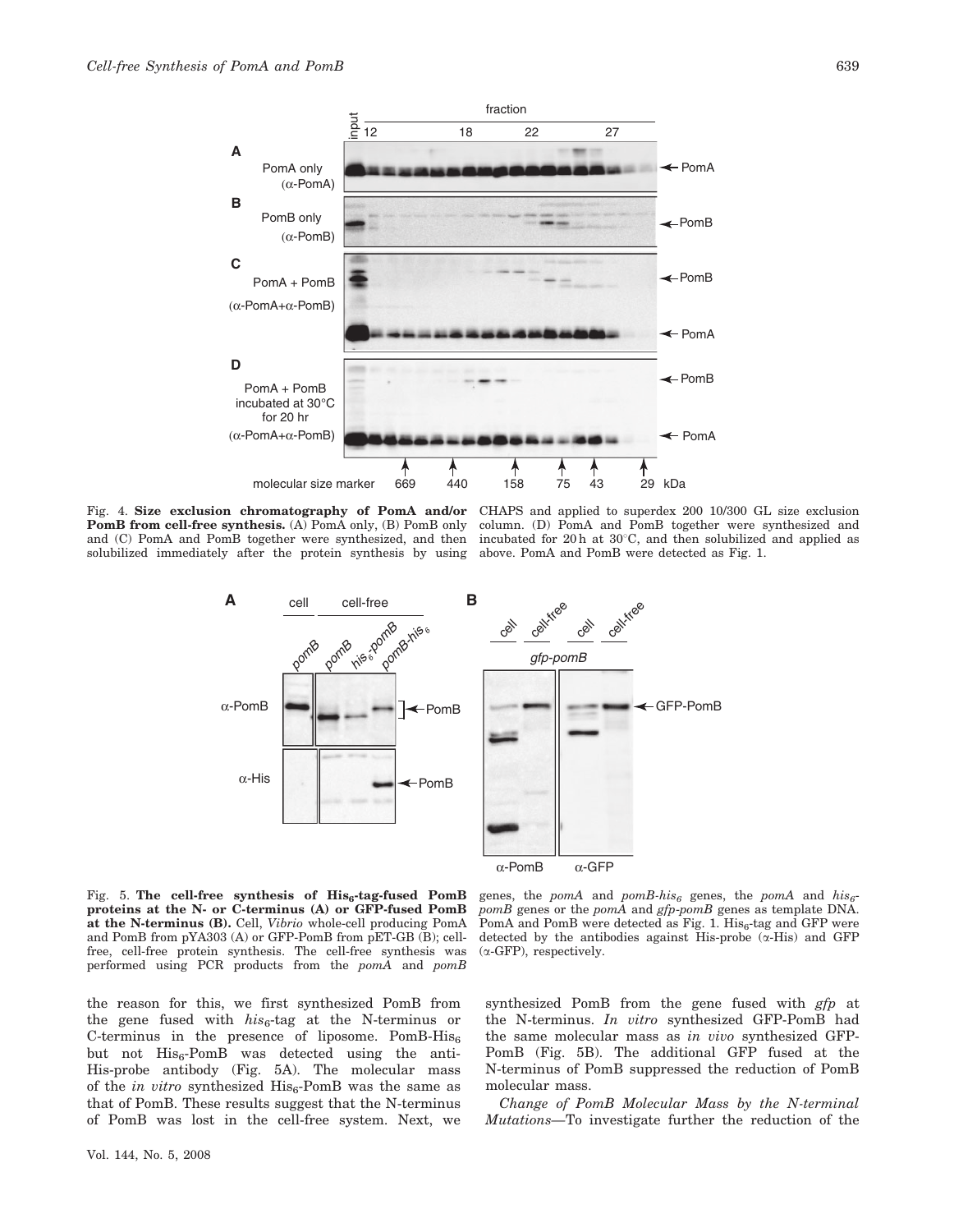**A**

**B**

**C**

**D**



Fig. 4. Size exclusion chromatography of PomA and/or PomB from cell-free synthesis. (A) PomA only, (B) PomB only solubilized immediately after the protein synthesis by using above. PomA and PomB were detected as Fig. 1.

PomA only

(α-PomA)

(α-PomB)

PomB only

PomA + PomB

(α-PomA+α-PomB)

PomA + PomB incubated at 30°C for 20 hr

(α-PomA+α-PomB)

and  $(C)$  PomA and PomB together were synthesized, and then incubated for 20 h at 30 $\degree$ C, and then solubilized and applied as CHAPS and applied to superdex 200 10/300 GL size exclusion column. (D) PomA and PomB together were synthesized and

PomB

 $\leftarrow$  PomA



molecular size marker 669 440 158 75 43 29 kDa

Fig. 5. The cell-free synthesis of  $His<sub>6</sub>$ -tag-fused PomB proteins at the N- or C-terminus (A) or GFP-fused PomB at the N-terminus (B). Cell, Vibrio whole-cell producing PomA and PomB from pYA303 (A) or GFP-PomB from pET-GB (B); cellfree, cell-free protein synthesis. The cell-free synthesis was performed using PCR products from the pomA and pomB

genes, the pomA and pomB-his<sub>6</sub> genes, the pomA and his<sub>6</sub>pomB genes or the pomA and gfp-pomB genes as template DNA. PomA and PomB were detected as Fig. 1.  $His<sub>6</sub>$ -tag and GFP were detected by the antibodies against His-probe  $(\alpha$ -His) and GFP  $(\alpha$ -GFP), respectively.

the reason for this, we first synthesized PomB from the gene fused with  $his_6$ -tag at the N-terminus or C-terminus in the presence of liposome. PomB-His6 but not  $His<sub>6</sub>-PomB$  was detected using the anti-His-probe antibody (Fig. 5A). The molecular mass of the in vitro synthesized  $His<sub>6</sub>-PomB$  was the same as that of PomB. These results suggest that the N-terminus of PomB was lost in the cell-free system. Next, we synthesized PomB from the gene fused with  $gfp$  at the N-terminus. In vitro synthesized GFP-PomB had the same molecular mass as in vivo synthesized GFP-PomB (Fig. 5B). The additional GFP fused at the N-terminus of PomB suppressed the reduction of PomB molecular mass.

Change of PomB Molecular Mass by the N-terminal Mutations—To investigate further the reduction of the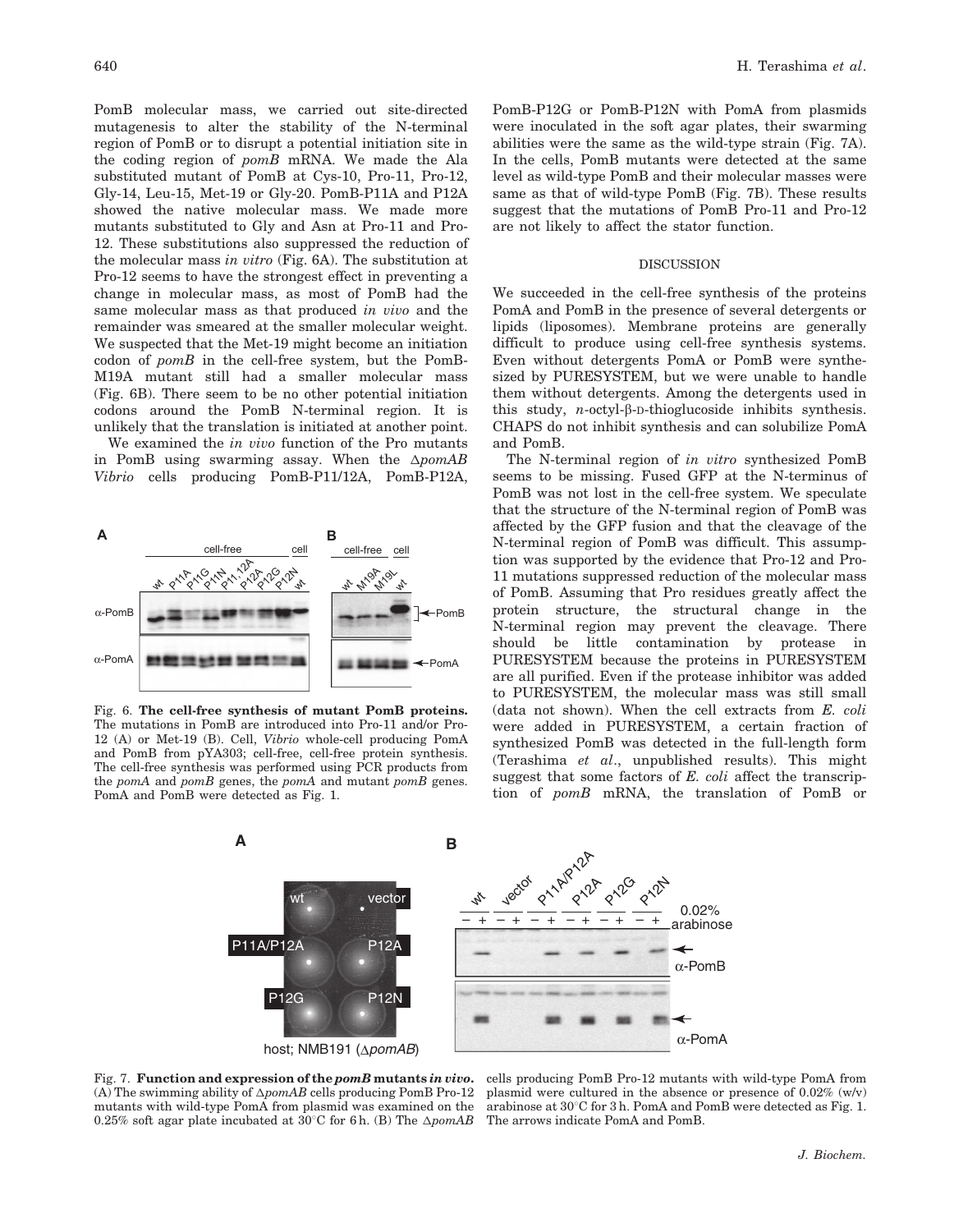PomB molecular mass, we carried out site-directed mutagenesis to alter the stability of the N-terminal region of PomB or to disrupt a potential initiation site in the coding region of pomB mRNA. We made the Ala substituted mutant of PomB at Cys-10, Pro-11, Pro-12, Gly-14, Leu-15, Met-19 or Gly-20. PomB-P11A and P12A showed the native molecular mass. We made more mutants substituted to Gly and Asn at Pro-11 and Pro-12. These substitutions also suppressed the reduction of the molecular mass in vitro (Fig. 6A). The substitution at Pro-12 seems to have the strongest effect in preventing a change in molecular mass, as most of PomB had the same molecular mass as that produced in vivo and the remainder was smeared at the smaller molecular weight. We suspected that the Met-19 might become an initiation codon of pomB in the cell-free system, but the PomB-M19A mutant still had a smaller molecular mass (Fig. 6B). There seem to be no other potential initiation codons around the PomB N-terminal region. It is unlikely that the translation is initiated at another point.

We examined the in vivo function of the Pro mutants in PomB using swarming assay. When the  $\Delta p$ omAB Vibrio cells producing PomB-P11/12A, PomB-P12A,

#### **A B** cell-free cell cell-free cell **P11,12A**<br>P11,2A  $\epsilon$ P12G **M19A** P11A P11A<br>P11A P12N **M19L** r<br>h th<br>M th<br>M tr<br>1 α-PomB PomB α-PomA 1081010102010  $\leftarrow$ PomA

Fig. 6. The cell-free synthesis of mutant PomB proteins. The mutations in PomB are introduced into Pro-11 and/or Pro-12 (A) or Met-19 (B). Cell, Vibrio whole-cell producing PomA and PomB from pYA303; cell-free, cell-free protein synthesis. The cell-free synthesis was performed using PCR products from the *pomA* and *pomB* genes, the *pomA* and mutant *pomB* genes. PomA and PomB were detected as Fig. 1.

PomB-P12G or PomB-P12N with PomA from plasmids were inoculated in the soft agar plates, their swarming abilities were the same as the wild-type strain (Fig. 7A). In the cells, PomB mutants were detected at the same level as wild-type PomB and their molecular masses were same as that of wild-type PomB (Fig. 7B). These results suggest that the mutations of PomB Pro-11 and Pro-12 are not likely to affect the stator function.

#### **DISCUSSION**

We succeeded in the cell-free synthesis of the proteins PomA and PomB in the presence of several detergents or lipids (liposomes). Membrane proteins are generally difficult to produce using cell-free synthesis systems. Even without detergents PomA or PomB were synthesized by PURESYSTEM, but we were unable to handle them without detergents. Among the detergents used in this study, n-octyl-b-D-thioglucoside inhibits synthesis. CHAPS do not inhibit synthesis and can solubilize PomA and PomB.

The N-terminal region of in vitro synthesized PomB seems to be missing. Fused GFP at the N-terminus of PomB was not lost in the cell-free system. We speculate that the structure of the N-terminal region of PomB was affected by the GFP fusion and that the cleavage of the N-terminal region of PomB was difficult. This assumption was supported by the evidence that Pro-12 and Pro-11 mutations suppressed reduction of the molecular mass of PomB. Assuming that Pro residues greatly affect the protein structure, the structural change in the N-terminal region may prevent the cleavage. There should be little contamination by protease in PURESYSTEM because the proteins in PURESYSTEM are all purified. Even if the protease inhibitor was added to PURESYSTEM, the molecular mass was still small (data not shown). When the cell extracts from E. coli were added in PURESYSTEM, a certain fraction of synthesized PomB was detected in the full-length form (Terashima et al., unpublished results). This might suggest that some factors of  $E$ . *coli* affect the transcription of pomB mRNA, the translation of PomB or



Fig. 7. Function and expression of the pomB mutants in vivo. (A) The swimming ability of  $\Delta p o m A B$  cells producing PomB Pro-12 mutants with wild-type PomA from plasmid was examined on the 0.25% soft agar plate incubated at  $30^{\circ}$ C for 6 h. (B) The  $\Delta p$ omAB

cells producing PomB Pro-12 mutants with wild-type PomA from plasmid were cultured in the absence or presence of 0.02% (w/v) arabinose at  $30^{\circ}$ C for 3 h. PomA and PomB were detected as Fig. 1. The arrows indicate PomA and PomB.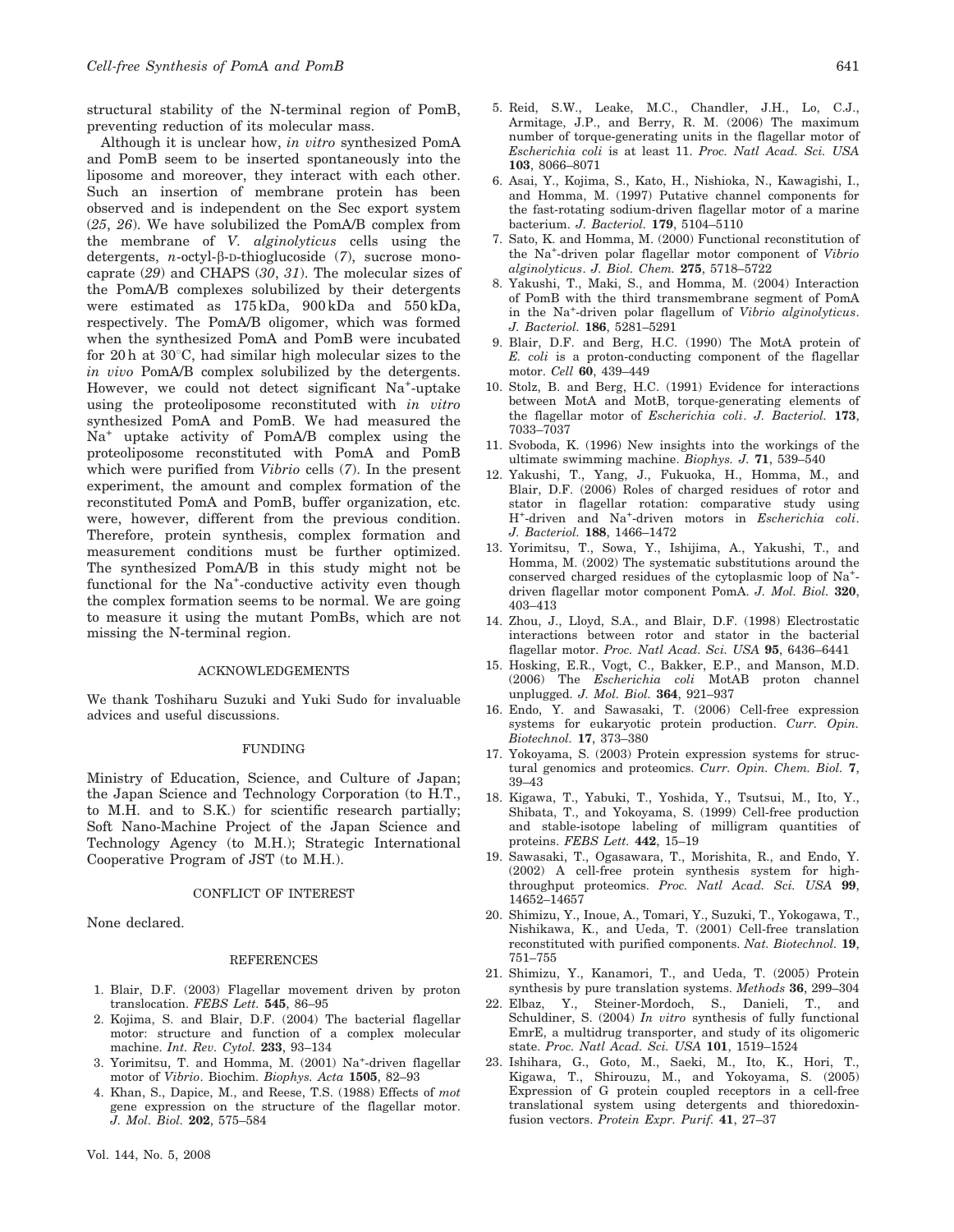structural stability of the N-terminal region of PomB, preventing reduction of its molecular mass.

Although it is unclear how, in vitro synthesized PomA and PomB seem to be inserted spontaneously into the liposome and moreover, they interact with each other. Such an insertion of membrane protein has been observed and is independent on the Sec export system (25, 26). We have solubilized the PomA/B complex from the membrane of V. alginolyticus cells using the detergents, *n*-octyl- $\beta$ -D-thioglucoside (7), sucrose monocaprate (29) and CHAPS (30, 31). The molecular sizes of the PomA/B complexes solubilized by their detergents were estimated as 175 kDa, 900 kDa and 550 kDa, respectively. The PomA/B oligomer, which was formed when the synthesized PomA and PomB were incubated for 20 h at  $30^{\circ}$ C, had similar high molecular sizes to the in vivo PomA/B complex solubilized by the detergents. However, we could not detect significant Na<sup>+</sup>-uptake using the proteoliposome reconstituted with in vitro synthesized PomA and PomB. We had measured the Na<sup>+</sup> uptake activity of PomA/B complex using the proteoliposome reconstituted with PomA and PomB which were purified from Vibrio cells (7). In the present experiment, the amount and complex formation of the reconstituted PomA and PomB, buffer organization, etc. were, however, different from the previous condition. Therefore, protein synthesis, complex formation and measurement conditions must be further optimized. The synthesized PomA/B in this study might not be functional for the Na<sup>+</sup>-conductive activity even though the complex formation seems to be normal. We are going to measure it using the mutant PomBs, which are not missing the N-terminal region.

# ACKNOWLEDGEMENTS

We thank Toshiharu Suzuki and Yuki Sudo for invaluable advices and useful discussions.

### FUNDING

Ministry of Education, Science, and Culture of Japan; the Japan Science and Technology Corporation (to H.T., to M.H. and to S.K.) for scientific research partially; Soft Nano-Machine Project of the Japan Science and Technology Agency (to M.H.); Strategic International Cooperative Program of JST (to M.H.).

#### CONFLICT OF INTEREST

None declared.

#### REFERENCES

- 1. Blair, D.F. (2003) Flagellar movement driven by proton translocation. FEBS Lett. 545, 86–95
- 2. Kojima, S. and Blair, D.F. (2004) The bacterial flagellar motor: structure and function of a complex molecular machine. Int. Rev. Cytol. 233, 93–134
- 3. Yorimitsu, T. and Homma, M. (2001) Na<sup>+</sup> -driven flagellar motor of Vibrio. Biochim. Biophys. Acta 1505, 82–93
- 4. Khan, S., Dapice, M., and Reese, T.S. (1988) Effects of mot gene expression on the structure of the flagellar motor. J. Mol. Biol. 202, 575–584
- 5. Reid, S.W., Leake, M.C., Chandler, J.H., Lo, C.J., Armitage, J.P., and Berry, R. M. (2006) The maximum number of torque-generating units in the flagellar motor of Escherichia coli is at least 11. Proc. Natl Acad. Sci. USA 103, 8066–8071
- 6. Asai, Y., Kojima, S., Kato, H., Nishioka, N., Kawagishi, I., and Homma, M. (1997) Putative channel components for the fast-rotating sodium-driven flagellar motor of a marine bacterium. J. Bacteriol. 179, 5104–5110
- 7. Sato, K. and Homma, M. (2000) Functional reconstitution of the Na+ -driven polar flagellar motor component of Vibrio alginolyticus. J. Biol. Chem. 275, 5718–5722
- 8. Yakushi, T., Maki, S., and Homma, M. (2004) Interaction of PomB with the third transmembrane segment of PomA in the Na<sup>+</sup>-driven polar flagellum of Vibrio alginolyticus. J. Bacteriol. 186, 5281–5291
- 9. Blair, D.F. and Berg, H.C. (1990) The MotA protein of  $E.$  coli is a proton-conducting component of the flagellar motor. Cell 60, 439–449
- 10. Stolz, B. and Berg, H.C. (1991) Evidence for interactions between MotA and MotB, torque-generating elements of the flagellar motor of Escherichia coli. J. Bacteriol. 173, 7033–7037
- 11. Svoboda, K. (1996) New insights into the workings of the ultimate swimming machine. Biophys. J. 71, 539–540
- 12. Yakushi, T., Yang, J., Fukuoka, H., Homma, M., and Blair, D.F. (2006) Roles of charged residues of rotor and stator in flagellar rotation: comparative study using H<sup>+</sup>-driven and Na<sup>+</sup>-driven motors in Escherichia coli. J. Bacteriol. 188, 1466–1472
- 13. Yorimitsu, T., Sowa, Y., Ishijima, A., Yakushi, T., and Homma, M. (2002) The systematic substitutions around the conserved charged residues of the cytoplasmic loop of Na<sup>+</sup> driven flagellar motor component PomA. J. Mol. Biol. 320, 403–413
- 14. Zhou, J., Lloyd, S.A., and Blair, D.F. (1998) Electrostatic interactions between rotor and stator in the bacterial flagellar motor. Proc. Natl Acad. Sci. USA 95, 6436-6441
- 15. Hosking, E.R., Vogt, C., Bakker, E.P., and Manson, M.D. (2006) The Escherichia coli MotAB proton channel unplugged. J. Mol. Biol. 364, 921–937
- 16. Endo, Y. and Sawasaki, T. (2006) Cell-free expression systems for eukaryotic protein production. Curr. Opin. Biotechnol. 17, 373–380
- 17. Yokoyama, S. (2003) Protein expression systems for structural genomics and proteomics. Curr. Opin. Chem. Biol. 7, 39–43
- 18. Kigawa, T., Yabuki, T., Yoshida, Y., Tsutsui, M., Ito, Y., Shibata, T., and Yokoyama, S. (1999) Cell-free production and stable-isotope labeling of milligram quantities of proteins. FEBS Lett. 442, 15–19
- 19. Sawasaki, T., Ogasawara, T., Morishita, R., and Endo, Y. (2002) A cell-free protein synthesis system for highthroughput proteomics. Proc. Natl Acad. Sci. USA 99, 14652–14657
- 20. Shimizu, Y., Inoue, A., Tomari, Y., Suzuki, T., Yokogawa, T., Nishikawa, K., and Ueda, T. (2001) Cell-free translation reconstituted with purified components. Nat. Biotechnol. 19, 751–755
- 21. Shimizu, Y., Kanamori, T., and Ueda, T. (2005) Protein synthesis by pure translation systems. Methods 36, 299–304
- 22. Elbaz, Y., Steiner-Mordoch, S., Danieli, T., and Schuldiner, S. (2004) In vitro synthesis of fully functional EmrE, a multidrug transporter, and study of its oligomeric state. Proc. Natl Acad. Sci. USA 101, 1519–1524
- 23. Ishihara, G., Goto, M., Saeki, M., Ito, K., Hori, T., Kigawa, T., Shirouzu, M., and Yokoyama, S. (2005) Expression of G protein coupled receptors in a cell-free translational system using detergents and thioredoxinfusion vectors. Protein Expr. Purif. 41, 27–37